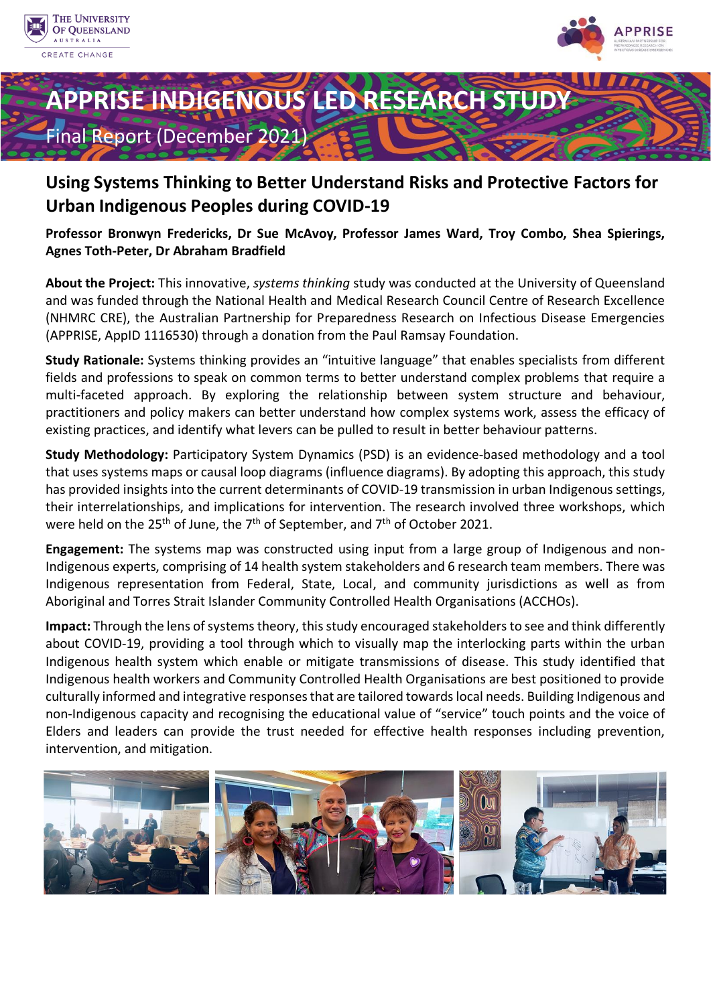





# **Using Systems Thinking to Better Understand Risks and Protective Factors for Urban Indigenous Peoples during COVID-19**

**Professor Bronwyn Fredericks, Dr Sue McAvoy, Professor James Ward, Troy Combo, Shea Spierings, Agnes Toth-Peter, Dr Abraham Bradfield** 

**About the Project:** This innovative, *systems thinking* study was conducted at the University of Queensland and was funded through the National Health and Medical Research Council Centre of Research Excellence (NHMRC CRE), the Australian Partnership for Preparedness Research on Infectious Disease Emergencies (APPRISE, AppID 1116530) through a donation from the Paul Ramsay Foundation.

**Study Rationale:** Systems thinking provides an "intuitive language" that enables specialists from different fields and professions to speak on common terms to better understand complex problems that require a multi-faceted approach. By exploring the relationship between system structure and behaviour, practitioners and policy makers can better understand how complex systems work, assess the efficacy of existing practices, and identify what levers can be pulled to result in better behaviour patterns.

**Study Methodology:** Participatory System Dynamics (PSD) is an evidence-based methodology and a tool that uses systems maps or causal loop diagrams (influence diagrams). By adopting this approach, this study has provided insights into the current determinants of COVID-19 transmission in urban Indigenous settings, their interrelationships, and implications for intervention. The research involved three workshops, which were held on the  $25<sup>th</sup>$  of June, the 7<sup>th</sup> of September, and 7<sup>th</sup> of October 2021.

**Engagement:** The systems map was constructed using input from a large group of Indigenous and non-Indigenous experts, comprising of 14 health system stakeholders and 6 research team members. There was Indigenous representation from Federal, State, Local, and community jurisdictions as well as from Aboriginal and Torres Strait Islander Community Controlled Health Organisations (ACCHOs).

**Impact:** Through the lens of systems theory, this study encouraged stakeholders to see and think differently about COVID-19, providing a tool through which to visually map the interlocking parts within the urban Indigenous health system which enable or mitigate transmissions of disease. This study identified that Indigenous health workers and Community Controlled Health Organisations are best positioned to provide culturally informed and integrative responses that are tailored towards local needs. Building Indigenous and non-Indigenous capacity and recognising the educational value of "service" touch points and the voice of Elders and leaders can provide the trust needed for effective health responses including prevention, intervention, and mitigation.

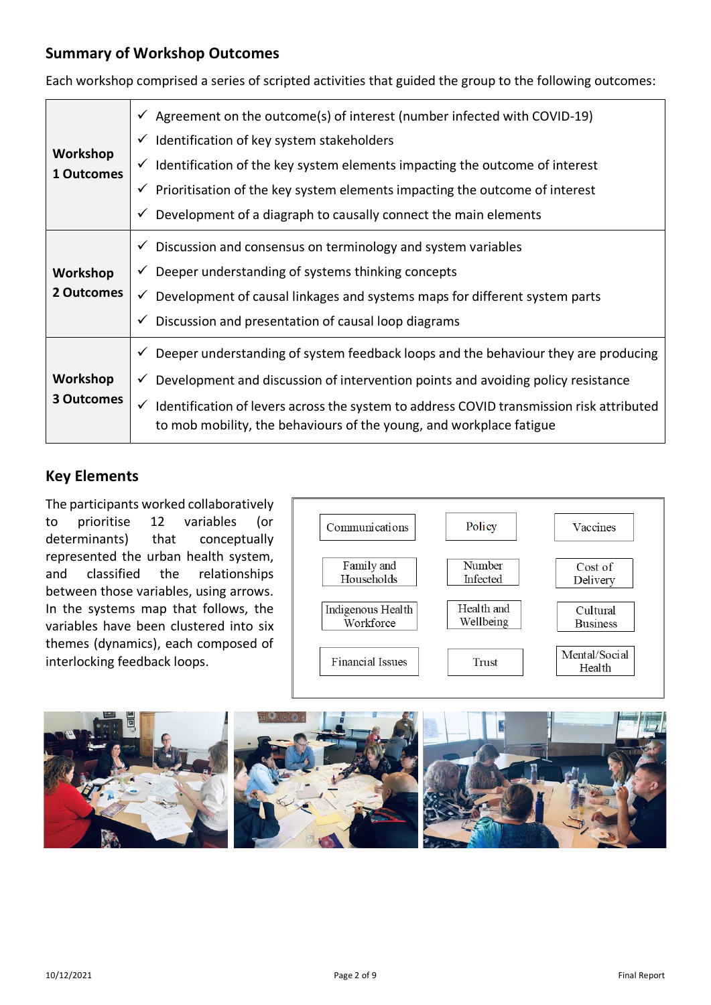#### **Summary of Workshop Outcomes**

| Workshop<br>1 Outcomes | $\checkmark$ Agreement on the outcome(s) of interest (number infected with COVID-19)<br>$\checkmark$ Identification of key system stakeholders<br>$\checkmark$ Identification of the key system elements impacting the outcome of interest<br>$\checkmark$ Prioritisation of the key system elements impacting the outcome of interest<br>$\checkmark$ Development of a diagraph to causally connect the main elements |
|------------------------|------------------------------------------------------------------------------------------------------------------------------------------------------------------------------------------------------------------------------------------------------------------------------------------------------------------------------------------------------------------------------------------------------------------------|
| Workshop<br>2 Outcomes | $\checkmark$ Discussion and consensus on terminology and system variables<br>$\checkmark$ Deeper understanding of systems thinking concepts<br>$\checkmark$ Development of causal linkages and systems maps for different system parts<br>$\checkmark$ Discussion and presentation of causal loop diagrams                                                                                                             |
| Workshop<br>3 Outcomes | $\checkmark$ Deeper understanding of system feedback loops and the behaviour they are producing<br>Development and discussion of intervention points and avoiding policy resistance<br>$\checkmark$<br>Identification of levers across the system to address COVID transmission risk attributed<br>$\checkmark$<br>to mob mobility, the behaviours of the young, and workplace fatigue                                 |

Each workshop comprised a series of scripted activities that guided the group to the following outcomes:

# **Key Elements**

The participants worked collaboratively to prioritise 12 variables (or determinants) that conceptually represented the urban health system, and classified the relationships between those variables, using arrows. In the systems map that follows, the variables have been clustered into six themes (dynamics), each composed of interlocking feedback loops.



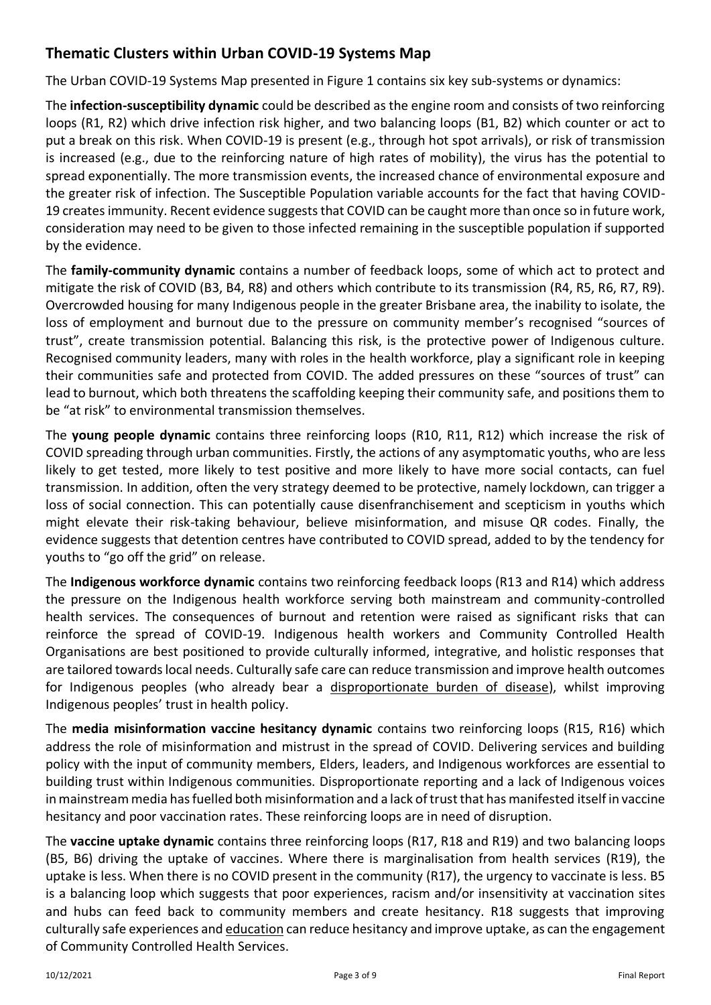# **Thematic Clusters within Urban COVID-19 Systems Map**

The Urban COVID-19 Systems Map presented in Figure 1 contains six key sub-systems or dynamics:

The **infection-susceptibility dynamic** could be described as the engine room and consists of two reinforcing loops (R1, R2) which drive infection risk higher, and two balancing loops (B1, B2) which counter or act to put a break on this risk. When COVID-19 is present (e.g., through hot spot arrivals), or risk of transmission is increased (e.g., due to the reinforcing nature of high rates of mobility), the virus has the potential to spread exponentially. The more transmission events, the increased chance of environmental exposure and the greater risk of infection. The Susceptible Population variable accounts for the fact that having COVID-19 creates immunity. Recent evidence suggests that COVID can be caught more than once so in future work, consideration may need to be given to those infected remaining in the susceptible population if supported by the evidence.

The **family-community dynamic** contains a number of feedback loops, some of which act to protect and mitigate the risk of COVID (B3, B4, R8) and others which contribute to its transmission (R4, R5, R6, R7, R9). Overcrowded housing for many Indigenous people in the greater Brisbane area, the inability to isolate, the loss of employment and burnout due to the pressure on community member's recognised "sources of trust", create transmission potential. Balancing this risk, is the protective power of Indigenous culture. Recognised community leaders, many with roles in the health workforce, play a significant role in keeping their communities safe and protected from COVID. The added pressures on these "sources of trust" can lead to burnout, which both threatens the scaffolding keeping their community safe, and positions them to be "at risk" to environmental transmission themselves.

The **young people dynamic** contains three reinforcing loops (R10, R11, R12) which increase the risk of COVID spreading through urban communities. Firstly, the actions of any asymptomatic youths, who are less likely to get tested, more likely to [test positive and more likely to have more social contacts,](https://www.sydney.edu.au/news-opinion/news/2020/08/11/why-are-young-men-more-likely-to-believe-covid-19-myths.html) can fuel transmission. In addition, often the very strategy deemed to be protective, namely lockdown, can trigger a loss of social connection. This can potentially cause disenfranchisement and scepticism in youths which might elevate their risk-taking behaviour, believe misinformation, and misuse QR codes. Finally, the evidence suggests that detention centres have contributed to COVID spread, added to by the tendency for youths to "go off the grid" on release.

The **Indigenous workforce dynamic** contains two reinforcing feedback loops (R13 and R14) which address the pressure on the Indigenous health workforce serving both mainstream and community-controlled health services. The consequences of burnout and retention were raised as significant risks that can reinforce the spread of COVID-19. Indigenous health workers and Community Controlled Health Organisations are best positioned to provide culturally informed, integrative, and holistic responses that are tailored towards local needs. Culturally safe care can reduce transmission and improve health outcomes for Indigenous peoples (who already bear a [disproportionate burden of disease\)](https://www.hrw.org/news/2021/08/19/australia-protect-risk-communities-covid-19), whilst improving Indigenous peoples' trust in health policy.

The **media misinformation vaccine hesitancy dynamic** contains two reinforcing loops (R15, R16) which address the role of misinformation and mistrust in the spread of COVID. Delivering services and building policy with the input of community members, Elders, leaders, and Indigenous workforces are essential to building trust within Indigenous communities. Disproportionate reporting and a lack of Indigenous voices in mainstream media has fuelled both misinformation and a lack of trust that has manifested itself in vaccine hesitancy and poor vaccination rates. These reinforcing loops are in need of disruption.

The **vaccine uptake dynamic** contains three reinforcing loops (R17, R18 and R19) and two balancing loops (B5, B6) driving the uptake of vaccines. Where there is marginalisation from health services (R19), the uptake is less. When there is no COVID present in the community (R17), the urgency to vaccinate is less. B5 is a balancing loop which suggests that poor experiences, racism and/or insensitivity at vaccination sites and hubs can feed back to community members and create hesitancy. R18 suggests that improving culturally safe experiences and [education](https://www.abc.net.au/news/2021-11-05/tas-indigenous-vaccination-rates-lagging-in-tasmania/100595344) can reduce hesitancy and improve uptake, as can the engagement of Community Controlled Health Services.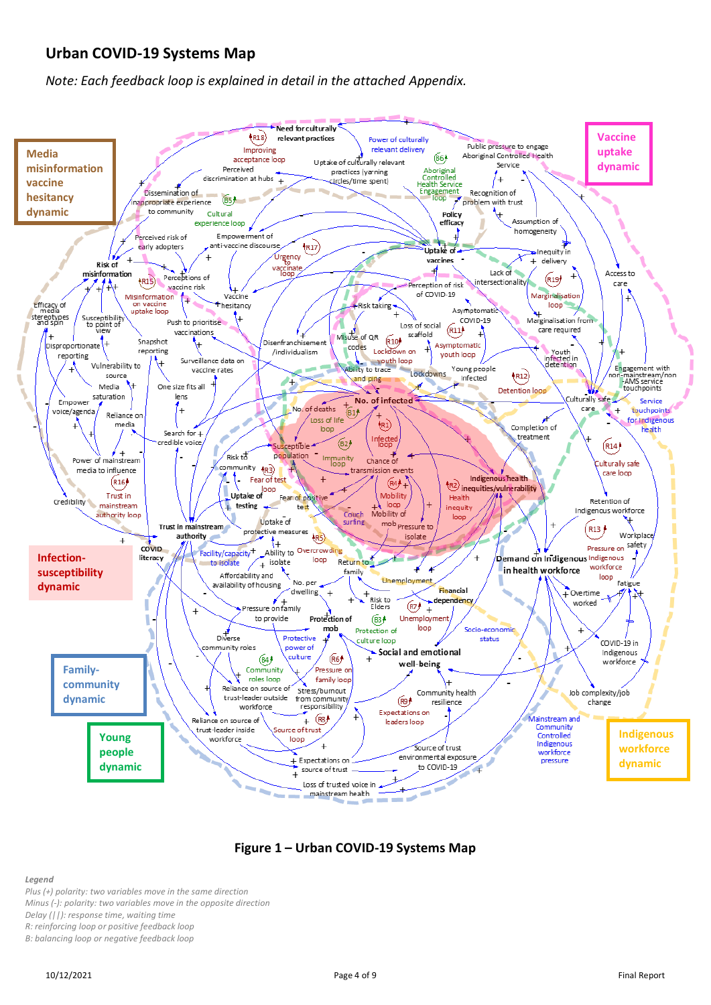#### **Urban COVID-19 Systems Map**

*Note: Each feedback loop is explained in detail in the attached Appendix.*



#### **Figure 1 – Urban COVID-19 Systems Map**

*Legend*

*Plus (+) polarity: two variables move in the same direction*

*Minus (-): polarity: two variables move in the opposite direction*

*Delay (||): response time, waiting time* 

*R: reinforcing loop or positive feedback loop*

*B: balancing loop or negative feedback loop*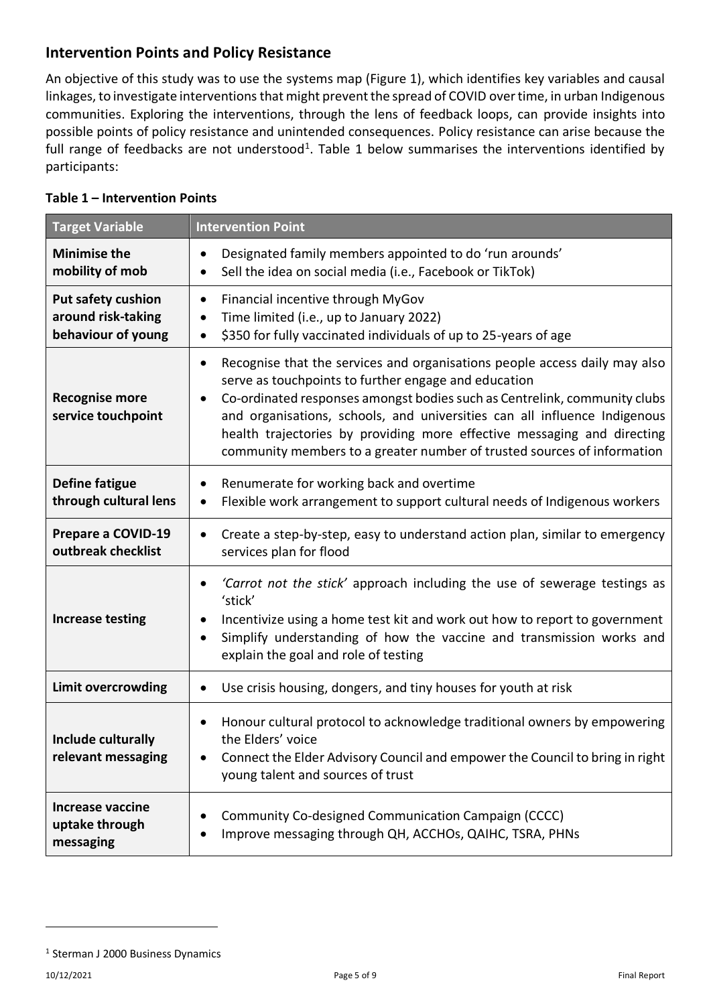#### **Intervention Points and Policy Resistance**

An objective of this study was to use the systems map (Figure 1), which identifies key variables and causal linkages, to investigate interventions that might prevent the spread of COVID over time, in urban Indigenous communities. Exploring the interventions, through the lens of feedback loops, can provide insights into possible points of policy resistance and unintended consequences. Policy resistance can arise because the full range of feedbacks are not understood<sup>1</sup>. Table 1 below summarises the interventions identified by participants:

| <b>Target Variable</b>                                                | <b>Intervention Point</b>                                                                                                                                                                                                                                                                                                                                                                                                                                                    |
|-----------------------------------------------------------------------|------------------------------------------------------------------------------------------------------------------------------------------------------------------------------------------------------------------------------------------------------------------------------------------------------------------------------------------------------------------------------------------------------------------------------------------------------------------------------|
| <b>Minimise the</b><br>mobility of mob                                | Designated family members appointed to do 'run arounds'<br>$\bullet$<br>Sell the idea on social media (i.e., Facebook or TikTok)<br>$\bullet$                                                                                                                                                                                                                                                                                                                                |
| <b>Put safety cushion</b><br>around risk-taking<br>behaviour of young | Financial incentive through MyGov<br>$\bullet$<br>Time limited (i.e., up to January 2022)<br>$\bullet$<br>\$350 for fully vaccinated individuals of up to 25-years of age<br>$\bullet$                                                                                                                                                                                                                                                                                       |
| <b>Recognise more</b><br>service touchpoint                           | Recognise that the services and organisations people access daily may also<br>$\bullet$<br>serve as touchpoints to further engage and education<br>Co-ordinated responses amongst bodies such as Centrelink, community clubs<br>$\bullet$<br>and organisations, schools, and universities can all influence Indigenous<br>health trajectories by providing more effective messaging and directing<br>community members to a greater number of trusted sources of information |
| <b>Define fatigue</b><br>through cultural lens                        | Renumerate for working back and overtime<br>$\bullet$<br>Flexible work arrangement to support cultural needs of Indigenous workers<br>$\bullet$                                                                                                                                                                                                                                                                                                                              |
| Prepare a COVID-19<br>outbreak checklist                              | Create a step-by-step, easy to understand action plan, similar to emergency<br>$\bullet$<br>services plan for flood                                                                                                                                                                                                                                                                                                                                                          |
| <b>Increase testing</b>                                               | 'Carrot not the stick' approach including the use of sewerage testings as<br>$\bullet$<br>'stick'<br>Incentivize using a home test kit and work out how to report to government<br>$\bullet$<br>Simplify understanding of how the vaccine and transmission works and<br>$\bullet$<br>explain the goal and role of testing                                                                                                                                                    |
| <b>Limit overcrowding</b>                                             | Use crisis housing, dongers, and tiny houses for youth at risk<br>$\bullet$                                                                                                                                                                                                                                                                                                                                                                                                  |
| <b>Include culturally</b><br>relevant messaging                       | Honour cultural protocol to acknowledge traditional owners by empowering<br>$\bullet$<br>the Elders' voice<br>Connect the Elder Advisory Council and empower the Council to bring in right<br>young talent and sources of trust                                                                                                                                                                                                                                              |
| <b>Increase vaccine</b><br>uptake through<br>messaging                | Community Co-designed Communication Campaign (CCCC)<br>٠<br>Improve messaging through QH, ACCHOs, QAIHC, TSRA, PHNs                                                                                                                                                                                                                                                                                                                                                          |

#### **Table 1 – Intervention Points**

<sup>1</sup> Sterman J 2000 Business Dynamics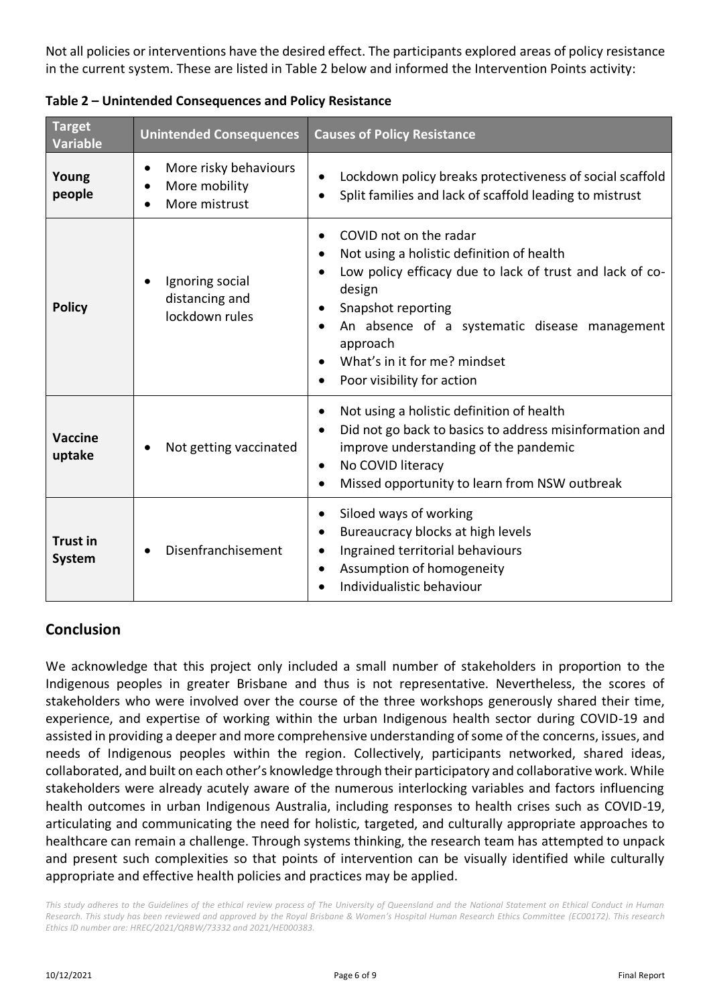Not all policies or interventions have the desired effect. The participants explored areas of policy resistance in the current system. These are listed in Table 2 below and informed the Intervention Points activity:

| <b>Target</b><br><b>Variable</b> | <b>Unintended Consequences</b>                                       | <b>Causes of Policy Resistance</b>                                                                                                                                                                                                                                                         |
|----------------------------------|----------------------------------------------------------------------|--------------------------------------------------------------------------------------------------------------------------------------------------------------------------------------------------------------------------------------------------------------------------------------------|
| Young<br>people                  | More risky behaviours<br>$\bullet$<br>More mobility<br>More mistrust | Lockdown policy breaks protectiveness of social scaffold<br>Split families and lack of scaffold leading to mistrust<br>$\bullet$                                                                                                                                                           |
| <b>Policy</b>                    | Ignoring social<br>distancing and<br>lockdown rules                  | COVID not on the radar<br>Not using a holistic definition of health<br>Low policy efficacy due to lack of trust and lack of co-<br>design<br>Snapshot reporting<br>An absence of a systematic disease management<br>approach<br>What's in it for me? mindset<br>Poor visibility for action |
| <b>Vaccine</b><br>uptake         | Not getting vaccinated                                               | Not using a holistic definition of health<br>Did not go back to basics to address misinformation and<br>improve understanding of the pandemic<br>No COVID literacy<br>$\bullet$<br>Missed opportunity to learn from NSW outbreak<br>$\bullet$                                              |
| <b>Trust in</b><br><b>System</b> | Disenfranchisement                                                   | Siloed ways of working<br>Bureaucracy blocks at high levels<br>Ingrained territorial behaviours<br>Assumption of homogeneity<br>$\bullet$<br>Individualistic behaviour                                                                                                                     |

**Table 2 – Unintended Consequences and Policy Resistance**

# **Conclusion**

We acknowledge that this project only included a small number of stakeholders in proportion to the Indigenous peoples in greater Brisbane and thus is not representative. Nevertheless, the scores of stakeholders who were involved over the course of the three workshops generously shared their time, experience, and expertise of working within the urban Indigenous health sector during COVID-19 and assisted in providing a deeper and more comprehensive understanding of some of the concerns, issues, and needs of Indigenous peoples within the region. Collectively, participants networked, shared ideas, collaborated, and built on each other's knowledge through their participatory and collaborative work. While stakeholders were already acutely aware of the numerous interlocking variables and factors influencing health outcomes in urban Indigenous Australia, including responses to health crises such as COVID-19, articulating and communicating the need for holistic, targeted, and culturally appropriate approaches to healthcare can remain a challenge. Through systems thinking, the research team has attempted to unpack and present such complexities so that points of intervention can be visually identified while culturally appropriate and effective health policies and practices may be applied.

This study adheres to the Guidelines of the ethical review process of The University of Queensland and the National Statement on Ethical Conduct in Human *Research. This study has been reviewed and approved by the Royal Brisbane & Women's Hospital Human Research Ethics Committee (EC00172). This research Ethics ID number are: HREC/2021/QRBW/73332 and 2021/HE000383.*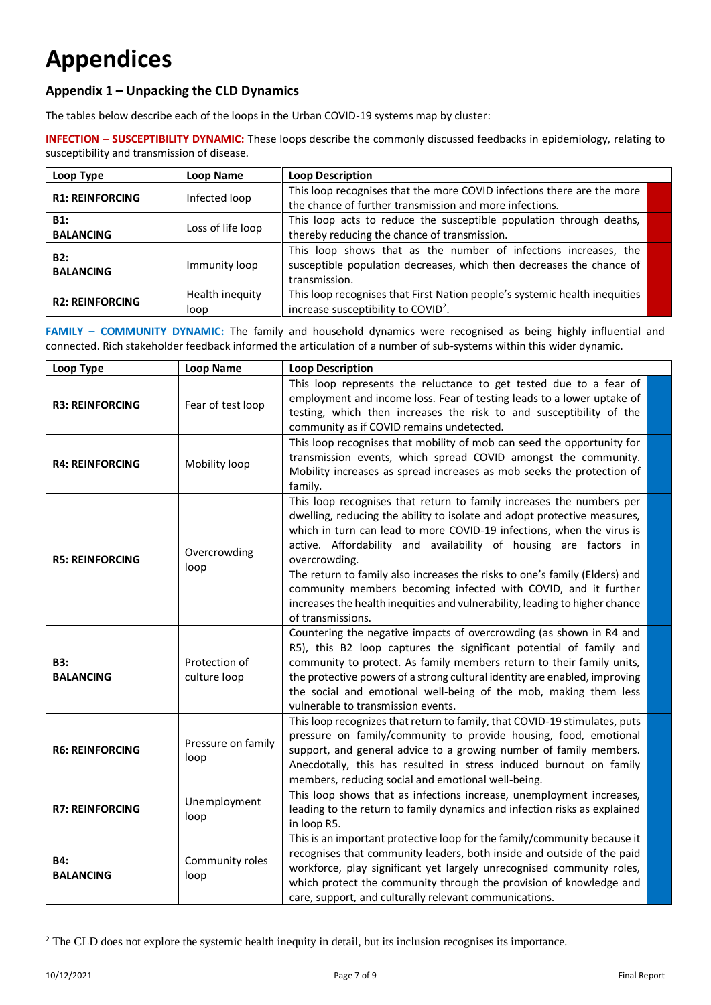# **Appendices**

#### **Appendix 1 – Unpacking the CLD Dynamics**

The tables below describe each of the loops in the Urban COVID-19 systems map by cluster:

**INFECTION – SUSCEPTIBILITY DYNAMIC:** These loops describe the commonly discussed feedbacks in epidemiology, relating to susceptibility and transmission of disease.

| Loop Type               | Loop Name               | <b>Loop Description</b>                                                                                                                                  |  |
|-------------------------|-------------------------|----------------------------------------------------------------------------------------------------------------------------------------------------------|--|
| <b>R1: REINFORCING</b>  | Infected loop           | This loop recognises that the more COVID infections there are the more<br>the chance of further transmission and more infections.                        |  |
| B1:<br><b>BALANCING</b> | Loss of life loop       | This loop acts to reduce the susceptible population through deaths,<br>thereby reducing the chance of transmission.                                      |  |
| B2:<br><b>BALANCING</b> | Immunity loop           | This loop shows that as the number of infections increases, the<br>susceptible population decreases, which then decreases the chance of<br>transmission. |  |
| <b>R2: REINFORCING</b>  | Health inequity<br>loop | This loop recognises that First Nation people's systemic health inequities<br>increase susceptibility to COVID <sup>2</sup> .                            |  |

**FAMILY - COMMUNITY DYNAMIC:** The family and household dynamics were recognised as being highly influential and connected. Rich stakeholder feedback informed the articulation of a number of sub-systems within this wider dynamic.

| Loop Type                      | <b>Loop Name</b>              | <b>Loop Description</b>                                                                                                                                                                                                                                                                                                                                                                                                                                                                                                                                            |  |
|--------------------------------|-------------------------------|--------------------------------------------------------------------------------------------------------------------------------------------------------------------------------------------------------------------------------------------------------------------------------------------------------------------------------------------------------------------------------------------------------------------------------------------------------------------------------------------------------------------------------------------------------------------|--|
| <b>R3: REINFORCING</b>         | Fear of test loop             | This loop represents the reluctance to get tested due to a fear of<br>employment and income loss. Fear of testing leads to a lower uptake of<br>testing, which then increases the risk to and susceptibility of the<br>community as if COVID remains undetected.                                                                                                                                                                                                                                                                                                   |  |
| <b>R4: REINFORCING</b>         | Mobility loop                 | This loop recognises that mobility of mob can seed the opportunity for<br>transmission events, which spread COVID amongst the community.<br>Mobility increases as spread increases as mob seeks the protection of<br>family.                                                                                                                                                                                                                                                                                                                                       |  |
| <b>R5: REINFORCING</b>         | Overcrowding<br>loop          | This loop recognises that return to family increases the numbers per<br>dwelling, reducing the ability to isolate and adopt protective measures,<br>which in turn can lead to more COVID-19 infections, when the virus is<br>active. Affordability and availability of housing are factors in<br>overcrowding.<br>The return to family also increases the risks to one's family (Elders) and<br>community members becoming infected with COVID, and it further<br>increases the health inequities and vulnerability, leading to higher chance<br>of transmissions. |  |
| <b>B3:</b><br><b>BALANCING</b> | Protection of<br>culture loop | Countering the negative impacts of overcrowding (as shown in R4 and<br>R5), this B2 loop captures the significant potential of family and<br>community to protect. As family members return to their family units,<br>the protective powers of a strong cultural identity are enabled, improving<br>the social and emotional well-being of the mob, making them less<br>vulnerable to transmission events.                                                                                                                                                         |  |
| <b>R6: REINFORCING</b>         | Pressure on family<br>loop    | This loop recognizes that return to family, that COVID-19 stimulates, puts<br>pressure on family/community to provide housing, food, emotional<br>support, and general advice to a growing number of family members.<br>Anecdotally, this has resulted in stress induced burnout on family<br>members, reducing social and emotional well-being.                                                                                                                                                                                                                   |  |
| <b>R7: REINFORCING</b>         | Unemployment<br>loop          | This loop shows that as infections increase, unemployment increases,<br>leading to the return to family dynamics and infection risks as explained<br>in loop R5.                                                                                                                                                                                                                                                                                                                                                                                                   |  |
| <b>B4:</b><br><b>BALANCING</b> | Community roles<br>loop       | This is an important protective loop for the family/community because it<br>recognises that community leaders, both inside and outside of the paid<br>workforce, play significant yet largely unrecognised community roles,<br>which protect the community through the provision of knowledge and<br>care, support, and culturally relevant communications.                                                                                                                                                                                                        |  |

<sup>&</sup>lt;sup>2</sup> The CLD does not explore the systemic health inequity in detail, but its inclusion recognises its importance.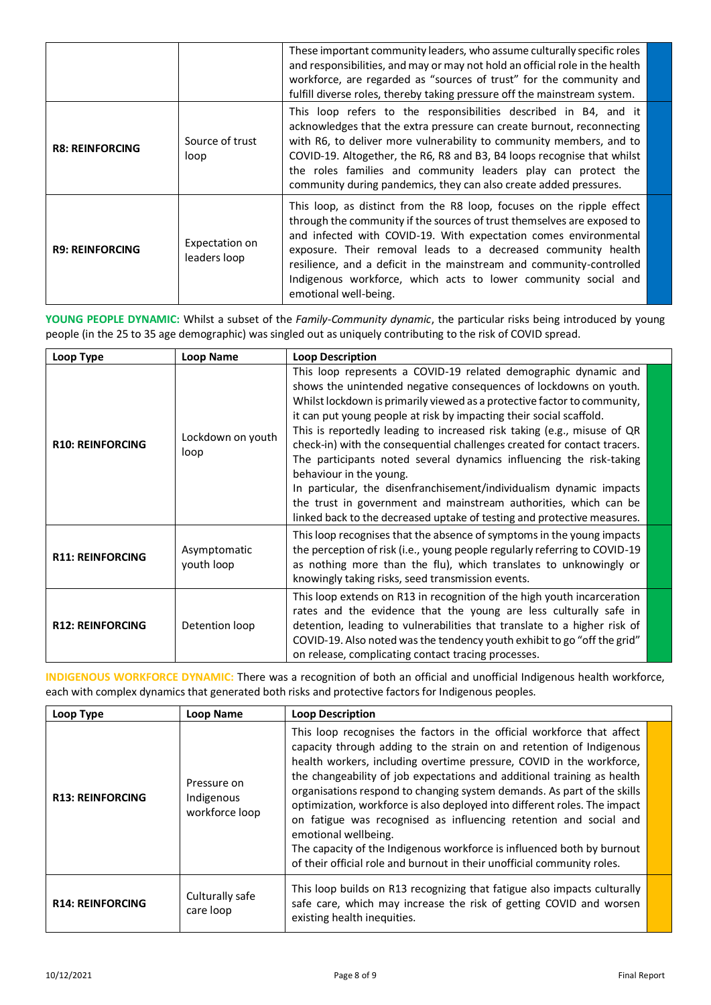|                        |                                | These important community leaders, who assume culturally specific roles<br>and responsibilities, and may or may not hold an official role in the health<br>workforce, are regarded as "sources of trust" for the community and<br>fulfill diverse roles, thereby taking pressure off the mainstream system.                                                                                                                                              |  |
|------------------------|--------------------------------|----------------------------------------------------------------------------------------------------------------------------------------------------------------------------------------------------------------------------------------------------------------------------------------------------------------------------------------------------------------------------------------------------------------------------------------------------------|--|
| <b>R8: REINFORCING</b> | Source of trust<br>loop        | This loop refers to the responsibilities described in B4, and it<br>acknowledges that the extra pressure can create burnout, reconnecting<br>with R6, to deliver more vulnerability to community members, and to<br>COVID-19. Altogether, the R6, R8 and B3, B4 loops recognise that whilst<br>the roles families and community leaders play can protect the<br>community during pandemics, they can also create added pressures.                        |  |
| <b>R9: REINFORCING</b> | Expectation on<br>leaders loop | This loop, as distinct from the R8 loop, focuses on the ripple effect<br>through the community if the sources of trust themselves are exposed to<br>and infected with COVID-19. With expectation comes environmental<br>exposure. Their removal leads to a decreased community health<br>resilience, and a deficit in the mainstream and community-controlled<br>Indigenous workforce, which acts to lower community social and<br>emotional well-being. |  |

**YOUNG PEOPLE DYNAMIC:** Whilst a subset of the *Family-Community dynamic*, the particular risks being introduced by young people (in the 25 to 35 age demographic) was singled out as uniquely contributing to the risk of COVID spread.

| Loop Type               | <b>Loop Name</b>           | <b>Loop Description</b>                                                                                                                                                                                                                                                                                                                                                                                                                                                                                                                                                                                                                                                                                                                                                |
|-------------------------|----------------------------|------------------------------------------------------------------------------------------------------------------------------------------------------------------------------------------------------------------------------------------------------------------------------------------------------------------------------------------------------------------------------------------------------------------------------------------------------------------------------------------------------------------------------------------------------------------------------------------------------------------------------------------------------------------------------------------------------------------------------------------------------------------------|
| <b>R10: REINFORCING</b> | Lockdown on youth<br>loop  | This loop represents a COVID-19 related demographic dynamic and<br>shows the unintended negative consequences of lockdowns on youth.<br>Whilst lockdown is primarily viewed as a protective factor to community,<br>it can put young people at risk by impacting their social scaffold.<br>This is reportedly leading to increased risk taking (e.g., misuse of QR<br>check-in) with the consequential challenges created for contact tracers.<br>The participants noted several dynamics influencing the risk-taking<br>behaviour in the young.<br>In particular, the disenfranchisement/individualism dynamic impacts<br>the trust in government and mainstream authorities, which can be<br>linked back to the decreased uptake of testing and protective measures. |
| <b>R11: REINFORCING</b> | Asymptomatic<br>youth loop | This loop recognises that the absence of symptoms in the young impacts<br>the perception of risk (i.e., young people regularly referring to COVID-19<br>as nothing more than the flu), which translates to unknowingly or<br>knowingly taking risks, seed transmission events.                                                                                                                                                                                                                                                                                                                                                                                                                                                                                         |
| <b>R12: REINFORCING</b> | Detention loop             | This loop extends on R13 in recognition of the high youth incarceration<br>rates and the evidence that the young are less culturally safe in<br>detention, leading to vulnerabilities that translate to a higher risk of<br>COVID-19. Also noted was the tendency youth exhibit to go "off the grid"<br>on release, complicating contact tracing processes.                                                                                                                                                                                                                                                                                                                                                                                                            |

**INDIGENOUS WORKFORCE DYNAMIC:** There was a recognition of both an official and unofficial Indigenous health workforce, each with complex dynamics that generated both risks and protective factors for Indigenous peoples.

| Loop Type               | <b>Loop Name</b>                            | <b>Loop Description</b>                                                                                                                                                                                                                                                                                                                                                                                                                                                                                                                                                                                                                                                                                     |
|-------------------------|---------------------------------------------|-------------------------------------------------------------------------------------------------------------------------------------------------------------------------------------------------------------------------------------------------------------------------------------------------------------------------------------------------------------------------------------------------------------------------------------------------------------------------------------------------------------------------------------------------------------------------------------------------------------------------------------------------------------------------------------------------------------|
| <b>R13: REINFORCING</b> | Pressure on<br>Indigenous<br>workforce loop | This loop recognises the factors in the official workforce that affect<br>capacity through adding to the strain on and retention of Indigenous<br>health workers, including overtime pressure, COVID in the workforce,<br>the changeability of job expectations and additional training as health<br>organisations respond to changing system demands. As part of the skills<br>optimization, workforce is also deployed into different roles. The impact<br>on fatigue was recognised as influencing retention and social and<br>emotional wellbeing.<br>The capacity of the Indigenous workforce is influenced both by burnout<br>of their official role and burnout in their unofficial community roles. |
| <b>R14: REINFORCING</b> | Culturally safe<br>care loop                | This loop builds on R13 recognizing that fatigue also impacts culturally<br>safe care, which may increase the risk of getting COVID and worsen<br>existing health inequities.                                                                                                                                                                                                                                                                                                                                                                                                                                                                                                                               |